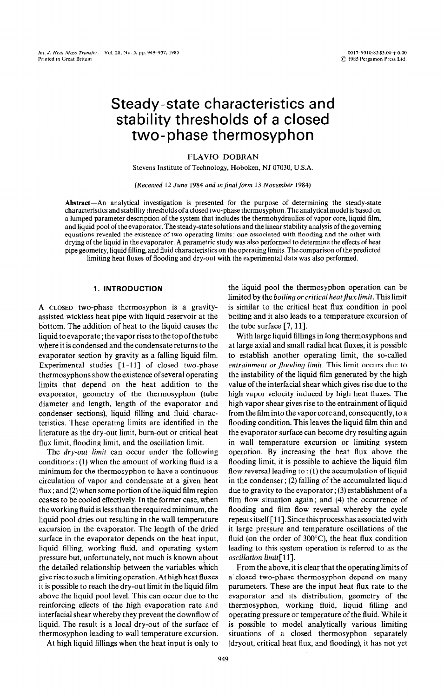# Steady-state characteristics and stability thresholds of a closed two-phase thermosyphon

# FLAVIO DOBRAN

Stevens Institute of Technology, Hoboken, NJ 07030, U.S.A.

(Received 12 June 1984 and in final form 13 November 1984)

**Abstract-An** analytical investigation is presented for the purpose of determining the steady-state characteristics and stability thresholds of a closed two-phase thermosyphon. The analytical model is based on a lumped parameter description of the system that includes the thermohydraulics of vapor core, liquid film, and liquid pool of the evaporator. The steady-state solutions and the linear stability analysis of the governing equations revealed the existence of two operating limits : one associated with flooding and the other with drying of the liquid in the evaporator. A parametric study was also performed to determine the effects of heat pipe geometry, liquid filling, and fluid characteristics on the operating limits. The comparison of the predicted limiting heat fluxes of flooding and dry-out with the experimental data was also performed.

# **1. INTRODUCTION**

**A CLOSED** two-phase thermosyphon is a gravityassisted wickless heat pipe with liquid reservoir at the bottom. The addition of heat to the liquid causes the liquid to evaporate ; the vapor rises to the top of the tube where it is condensed and the condensate returns to the evaporator section by gravity as a falling liquid film. Experimental studies  $\lceil 1-11 \rceil$  of closed two-phase thermosyphons show the existence of several operating limits that depend on the heat addition to the evaporator, geometry of the thermosyphon (tube diameter and length, length of the evaporator and condenser sections), liquid filling and fluid characteristics. These operating limits are identified in the literature as the dry-out limit, burn-out or critical heat flux limit, flooding limit, and the oscillation limit.

The *dry-out limit* can occur under the following conditions : (1) when the amount of working fluid is a minimum for the thermosyphon to have a continuous circulation of vapor and condensate at a given heat flux ; and (2) when some portion of the liquid film region ceases to be cooled effectively. In the former case, when the working fluid is less than the required minimum, the liquid pool dries out resulting in the wall temperature excursion in the evaporator. The length of the dried surface in the evaporator depends on the heat input, liquid filling, working fluid, and operating system pressure but, unfortunately, not much is known about the detailed relationship between the variables which give rise to such a limiting operation. At high heat fluxes it is possible to reach the dry-out limit in the liquid film above the liquid pool level. This can occur due to the reinforcing effects of the high evaporation rate and interfacial shear whereby they prevent the downflow of liquid. The result is a local dry-out of the surface of thermosyphon leading to wall temperature excursion. the liquid pool the thermosyphon operation can be limited by the *boiling or critical heatflux limit.* This limit is similar to the critical heat flux condition in pool boiling and it also leads to a temperature excursion of the tube surface  $[7, 11]$ .

With large liquid fillings in long thermosyphons and at large axial and small radial heat fluxes, it is possible to establish another operating limit, the so-called *entrainment or flooding limit.* This limit occurs due to the instability of the liquid film generated by the high value of the interfacial shear which gives rise due to the high vapor velocity induced by high heat fluxes. The high vapor shear gives rise to the entrainment of liquid from the film into the vapor core and, consequently, to a flooding condition. This leaves the liquid film thin and the evaporator surface can become dry resulting again in wall temperature excursion or limiting system operation. By increasing the heat flux above the flooding limit, it is possible to achieve the liquid film flow reversal leading to : (1) the accumulation of liquid in the condenser; (2) falling of the accumulated liquid due to gravity to the evaporator; (3) establishment of a film flow situation again; and (4) the occurrence of flooding and film flow reversal whereby the cycle repeats itself [ 111. Since this process has associated with it large pressure and temperature oscillations of the fluid (on the order of  $300^{\circ}$ C), the heat flux condition leading to this system operation is referred to as the *oscillation limit*[11].

From the above, it is clear that the operating limits of a closed two-phase thermosyphon depend on many parameters. These are the input heat flux rate to the evaporator and its distribution, geometry of the thermosyphon, working fluid, liquid filling and operating pressure or temperature of the fluid. While it is possible to model analytically various limiting situations of a closed thermosyphon separately (dryout, critical heat flux, and flooding), it has not yet

At high liquid fillings when the heat input is only to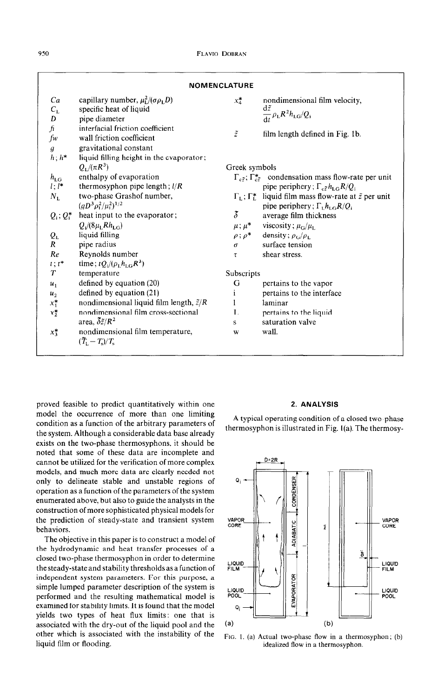|                                       |                                                                                           | <b>NOMENCLATURE</b> |                                                                                                                                                        |
|---------------------------------------|-------------------------------------------------------------------------------------------|---------------------|--------------------------------------------------------------------------------------------------------------------------------------------------------|
| Ca<br>$C_{\rm L}$<br>D                | capillary number, $\mu_L^2/(\sigma \rho_L D)$<br>specific heat of liquid<br>pipe diameter | $x_4^*$             | nondimensional film velocity,<br>$d\tilde{z}$<br>$\frac{dL}{dt} \rho_L R^2 h_{LG}/Q_i$                                                                 |
| $\mathbf f$<br>fw<br>$\boldsymbol{q}$ | interfacial friction coefficient<br>wall friction coefficient<br>gravitational constant   | $\tilde{z}$         | film length defined in Fig. 1b.                                                                                                                        |
| $h: h^*$                              | liquid filling height in the evaporator;<br>$Q_{L}/(\pi R^{3})$                           | Greek symbols       |                                                                                                                                                        |
| $h_{LG}$<br>$l: l^*$                  | enthalpy of evaporation<br>thermosyphon pipe length; $l/R$                                |                     | $\Gamma_{c\tilde{z}}$ ; $\Gamma_{c\tilde{z}}^*$ condensation mass flow-rate per unit<br>pipe periphery; $\Gamma_{\rm c\tilde{z}}h_{\rm LG}R/Q_{\rm i}$ |
| $N_{\rm L}$                           | two-phase Grashof number,<br>$(gD^3\rho_{\rm L}^2/\mu_{\rm L}^2)^{1/2}$                   |                     | $\Gamma_L$ ; $\Gamma_L^*$ liquid film mass flow-rate at $\tilde{z}$ per unit<br>pipe periphery; $\Gamma_{L}h_{LG}R/Q_i$                                |
| $Q_i$ ; $Q_i^*$                       | heat input to the evaporator;                                                             | $\delta$            | average film thickness                                                                                                                                 |
|                                       | $Q_i/(8\mu_L Rh_{LG})$<br>liquid filling                                                  |                     | $\mu$ ; $\mu^*$ viscosity; $\mu_G/\mu_L$<br>$\rho$ ; $\rho^*$ density; $\rho_G/\rho_L$                                                                 |
| $Q_{\rm L}$<br>$\overline{R}$         | pipe radius                                                                               | $\sigma$            | surface tension                                                                                                                                        |
| Re<br>$t : t^*$                       | Reynolds number<br>time; $tQ_i/(\rho_L h_{LG} R^3)$                                       | $\tau$              | shear stress.                                                                                                                                          |
| $\boldsymbol{\tau}$                   | temperature                                                                               | Subscripts          |                                                                                                                                                        |
| $u_1$                                 | defined by equation (20)                                                                  | G                   | pertains to the vapor                                                                                                                                  |
| u <sub>2</sub>                        | defined by equation (21)                                                                  | $\mathbf{1}$        | pertains to the interface                                                                                                                              |
| $x_1^*$                               | nondimensional liquid film length, $\tilde{z}/R$                                          | $\mathbf{1}$        | laminar                                                                                                                                                |
| $x_{2}^{*}$                           | nondimensional film cross-sectional<br>area, $\delta \tilde{z}/R^2$                       | L<br>S              | pertains to the liquid<br>saturation valve                                                                                                             |
| $x_3^*$                               | nondimensional film temperature,<br>$(\widetilde{T}_{\rm L}-T_{\rm s})/T_{\rm s}$         | W                   | wall.                                                                                                                                                  |

proved feasible to predict quantitatively within one model the occurrence of more than one limiting condition as a function of the arbitrary parameters of the system. Although a considerable data base already exists on the two-phase thermosyphons, it should be noted that some of these data are incomplete and cannot be utilized for the verification of more complex models, and much more data are clearly needed not only to delineate stable and unstable regions of operation as a function of the parameters of the system enumerated above, but also to guide the analysts in the construction of more sophisticated physical models for the prediction of steady-state and transient system behaviors.

The objective in this paper is to construct a model of the hydrodynamic and heat transfer processes of a closed two-phase thermosyphon in order to determine the steady-state and stability thresholds as a function of independent system parameters. For this purpose, a simple lumped parameter description of the system is performed and the resulting mathematical model is examined for stability limits. It is found that the model yields two types of heat flux limits: one that is associated with the dry-out of the liquid pool and the other which is associated with the instability of the liquid film or flooding.

#### 2. ANALYSIS

A typical operating condition of a closed two-phase thermosyphon is illustrated in Fig. l(a). The thermosy-



FIG. 1. (a) Actual two-phase flow in a thermosyphon; (b) idealized flow in a thermosyphon.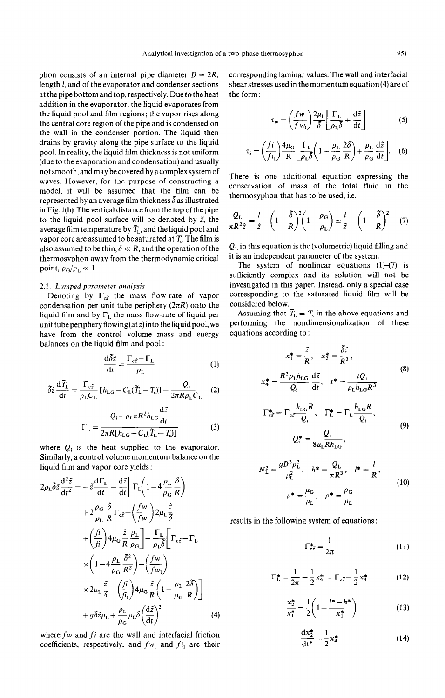phon consists of an internal pipe diameter  $D = 2R$ , length 1, and of the evaporator and condenser sections at the pipe bottom and top, respectively. Due to the heat addition in the evaporator, the liquid evaporates from the liquid pool and film regions ; the vapor rises along the central core region of the pipe and is condensed on the wall in the condenser portion. The liquid then drains by gravity along the pipe surface to the liquid pool. In reality, the liquid film thickness is not uniform (due to the evaporation and condensation) and usually not smooth, and may be covered by a complex system of waves. However, for the purpose of constructing a model, it will be assumed that the film can be represented by an average film thickness  $\delta$  as illustrated in Fig. l(b). The vertical distance from the top of the pipe to the liquid pool surface will be denoted by  $\tilde{z}$ , the average film temperature by  $\tilde{T}_{1}$ , and the liquid pool and vapor core are assumed to be saturated at  $T<sub>s</sub>$ . The film is also assumed to be thin,  $\delta \ll R$ , and the operation of the thermosyphon away from the thermodynamic critical point,  $\rho_G/\rho_L \ll 1$ .

# 2.1. *Lumped parameter analysis*

Denoting by  $\Gamma_{c\tilde{z}}$  the mass flow-rate of vapor condensation per unit tube periphery  $(2\pi R)$  onto the liquid film and by  $\Gamma_L$  the mass flow-rate of liquid per unit tube periphery flowing (at  $\tilde{z}$ ) into the liquid pool, we have from the control volume mass and energy balances on the liquid film and pool :

$$
\frac{d\delta \tilde{z}}{dt} = \frac{\Gamma_{c\tilde{z}} - \Gamma_{L}}{\rho_{L}} \tag{1}
$$

$$
\delta \tilde{z} \frac{\mathrm{d} \tilde{T}_{\rm L}}{\mathrm{d} t} = \frac{\Gamma_{\rm c\tilde{z}}}{\rho_{\rm L} C_{\rm L}} \left[ h_{\rm LG} - C_{\rm L} (\tilde{T}_{\rm L} - T_{\rm s}) \right] - \frac{Q_{\rm i}}{2\pi R \rho_{\rm L} C_{\rm L}} \quad (2)
$$

$$
\Gamma_{\rm L} = \frac{Q_{\rm i} - \rho_{\rm L} \pi R^2 h_{\rm Lo} \frac{d\tilde{z}}{dt}}{2\pi R[h_{\rm LG} - C_{\rm L}(\tilde{T}_{\rm L} - T_{\rm s})]}
$$
(3)

where  $Q_i$  is the heat supplied to the evaporator. Similarly, a control volume momentum balance on the liquid film and vapor core yields :

$$
2\rho_{\rm L}\delta\tilde{z}\frac{d^2\tilde{z}}{dt^2} = -\tilde{z}\frac{d\Gamma_{\rm L}}{dt} - \frac{d\tilde{z}}{dt} \left[ \Gamma_{\rm L} \left( 1 - 4\frac{\rho_{\rm L}}{\rho_{\rm G}} \frac{\delta}{R} \right) \right.+ 2\frac{\rho_{\rm G}}{\rho_{\rm L}} \frac{\delta}{R} \Gamma_{\rm c\tilde{z}} + \left( \frac{f w}{f w_{\rm L}} \right) 2\mu_{\rm L} \frac{\tilde{z}}{\delta}+ \left( \frac{f \hat{i}}{f \hat{i}_{\rm L}} \right) 4\mu_{\rm G} \frac{\tilde{z}}{R} \frac{\rho_{\rm L}}{\rho_{\rm G}} \right] + \frac{\Gamma_{\rm L}}{\rho_{\rm L}\delta} \left[ \Gamma_{\rm c\tilde{z}} - \Gamma_{\rm L} \right.\times \left( 1 - 4\frac{\rho_{\rm L}}{\rho_{\rm G}} \frac{\delta^2}{R^2} \right) - \left( \frac{f w}{f w_{\rm L}} \right)\times 2\mu_{\rm L} \frac{\tilde{z}}{\tilde{\delta}} - \left( \frac{f \hat{i}}{f \hat{i}_{\rm L}} \right) 4\mu_{\rm G} \frac{\tilde{z}}{R} \left( 1 + \frac{\rho_{\rm L}}{\rho_{\rm G}} \frac{2\delta}{R} \right) \right]+ g\delta\tilde{z}\rho_{\rm L} + \frac{\rho_{\rm L}}{\rho_{\rm G}} \rho_{\rm L} \delta \left( \frac{d\tilde{z}}{dt} \right)^2
$$
(4)

where  $fw$  and  $fi$  are the wall and interfacial friction coefficients, respectively, and  $f_{w_1}$  and  $f_{i_1}$  are their corresponding laminar values. The wall and interfacial shear stresses used in the momentum equation (4) are of the form :

$$
\tau_{\mathbf{w}} = \left(\frac{f\mathbf{w}}{f\mathbf{w}_1}\right) \frac{2\mu_{\mathbf{L}}}{\delta} \left[\frac{\Gamma_{\mathbf{L}}}{\rho_{\mathbf{L}}\delta} + \frac{d\tilde{z}}{dt}\right]
$$
(5)

$$
\tau_{\rm i} = \left(\frac{fi}{fi_1}\right) \frac{4\mu_{\rm G}}{R} \left[\frac{\Gamma_{\rm L}}{\rho_{\rm L} \delta} \left(1 + \frac{\rho_{\rm L}}{\rho_{\rm G}} \frac{2\delta}{R}\right) + \frac{\rho_{\rm L}}{\rho_{\rm G}} \frac{d\tilde{z}}{dt}\right].
$$
 (6)

There is one additional equation expressing the conservation of mass of the total fluid in the thermosyphon that has to be used, i.e.

$$
\frac{Q_{\rm L}}{\pi R^2 \tilde{z}} = \frac{l}{\tilde{z}} - \left(1 - \frac{\tilde{\delta}}{R}\right)^2 \left(1 - \frac{\rho_{\rm G}}{\rho_{\rm L}}\right) \simeq \frac{l}{\tilde{z}} - \left(1 - \frac{\tilde{\delta}}{R}\right)^2 \tag{7}
$$

 $Q_L$  in this equation is the (volumetric) liquid filling and it is an independent parameter of the system.

The system of nonlinear equations  $(1)$ - $(7)$  is sufficiently complex and its solution will not be investigated in this paper. Instead, only a special case corresponding to the saturated liquid film will be considered below.

Assuming that  $\tilde{T}_{L} = T_{s}$  in the above equations and performing the nondimensionalization of equations according to :

$$
x_1^* = \frac{\tilde{z}}{R}, \quad x_2^* = \frac{\tilde{\delta}\tilde{z}}{R^2},
$$
  
\n
$$
x_4^* = \frac{R^2 \rho_1 h_{\text{LG}} d\tilde{z}}{Q_i} , \quad t^* = \frac{tQ_i}{\rho_1 h_{\text{LG}} R^3}
$$
  
\n
$$
\Gamma_{\text{cz}}^* = \Gamma_{\text{cz}} \frac{h_{\text{LG}} R}{Q_i}, \quad \Gamma_{\text{L}}^* = \Gamma_{\text{L}} \frac{h_{\text{LG}} R}{Q_i},
$$
  
\n
$$
Q_i^* = \frac{Q_i}{\rho_{\text{L}} R_i L_i},
$$
  
\n(9)

$$
8\mu_{\rm L}Rn_{\rm LG}
$$
  

$$
V_{\rm L}^{2} = \frac{gD^{3}\rho_{\rm L}^{2}}{\mu_{\rm L}^{2}}, \quad h^{*} = \frac{Q_{\rm L}}{\pi R^{3}}, \quad l^{*} = \frac{l}{R},
$$
  

$$
\mu^{*} = \frac{\mu_{\rm G}}{R}, \quad \rho^{*} = \frac{\rho_{\rm G}}{R}
$$
 (10)

 $\mu_{\rm L}$   $\rho_{\rm L}$ 

results in the following system of equations :

j

$$
\Gamma_{c\tilde{z}}^* = \frac{1}{2\pi} \tag{11}
$$

$$
\Gamma_L^* = \frac{1}{2\pi} - \frac{1}{2} x_4^* = \Gamma_{c\tilde{z}} - \frac{1}{2} x_4^* \tag{12}
$$

$$
\frac{x_2^*}{x_1^*} = \frac{1}{2} \left( 1 - \frac{l^* - h^*}{x_1^*} \right) \tag{13}
$$

$$
\frac{dx_2^*}{dt^*} = \frac{1}{2}x_4^* \tag{14}
$$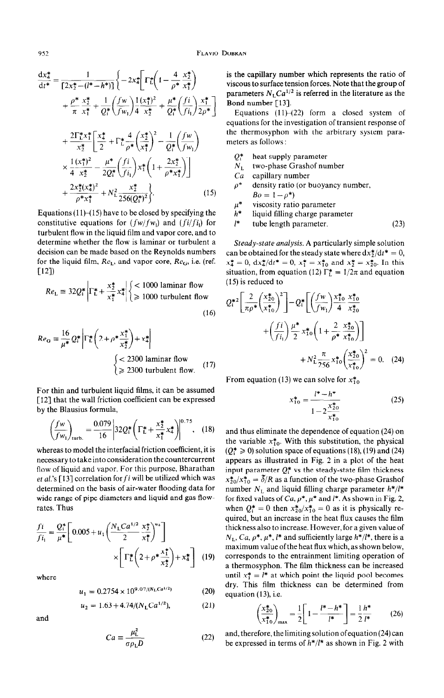$$
\frac{dx_4^*}{dt^*} = \frac{1}{[2x_2^* - (l^* - h^*)]} \left\{ -2x_4^* \left[ \Gamma_L^* \left( 1 - \frac{4}{\rho^*} \frac{x_2^*}{x_1^*} \right) + \frac{\rho^* x_2^*}{\pi x_1^*} + \frac{1}{Q_1^*} \left( \frac{fw}{fw_1} \right) \frac{1(x_1^*)^2}{4x_2^*} + \frac{\mu^*}{Q_1^*} \left( \frac{fi}{fi_1} \right) \frac{x_1^*}{2\rho^*} \right] + \frac{2\Gamma_L^* x_1^*}{x_2^*} \left[ \frac{x_4^*}{2} + \Gamma_L^* \frac{4}{\rho^*} \left( \frac{x_2^*}{x_1^*} \right)^2 - \frac{1}{Q_1^*} \left( \frac{fw}{fw_1} \right) \right] \times \frac{1(x_1^*)^2}{4x_2^*} - \frac{\mu^*}{2Q_1^*} \left( \frac{fi}{fi_1} \right) x_1^* \left( 1 + \frac{2x_2^*}{\rho^* x_1^*} \right) \right] + \frac{2x_2^*(x_4^*)^2}{\rho^* x_1^*} + N_L^2 \frac{x_2^*}{256(Q_1^*)^2} \right\}. \tag{15}
$$

Equations  $(11)$ – $(15)$  have to be closed by specifying the constitutive equations for  $(fw/fw_1)$  and  $(fi/fi_1)$  for turbulent flow in the liquid film and vapor core, and to determine whether the flow is laminar or turbulent a decision can be made based on the Reynolds numbers for the liquid film,  $Re_L$ , and vapor core,  $Re_G$ , i.e. (ref.  $[12]$ 

$$
Re_{\rm L} \equiv 32Q_{\rm i}^* \left| \Gamma_{\rm L}^* + \frac{x_2^*}{x_1^*} x_4^* \right| \begin{cases} < 1000 \text{ laminar flow} \\ \geqslant 1000 \text{ turbulent flow} \end{cases}
$$

$$
(16)
$$

$$
Re_{\mathbf{G}} \equiv \frac{16}{\mu^*} Q_i^* \left| \Gamma_L^* \left( 2 + \rho^* \frac{x_1^*}{x_2^*} \right) + x_4^* \right|
$$
  

$$
\begin{cases} < 2300 \text{ laminar flow} \\ \geq 2300 \text{ turbulent flow.} \end{cases}
$$
 (17)

For thin and turbulent liquid films, it can be assumed [12] that the wall friction coefficient can be expressed by the Blausius formula,

$$
\left(\frac{f w}{f w_1}\right)_{\text{turb.}} = \frac{0.079}{16} \left| 32 Q_1^* \left( \Gamma_L^* + \frac{x_2^*}{x_1^*} x_4^* \right) \right|^{0.75}, \quad (18)
$$

whereas to model the interfacial friction coefficient, it is necessary to take into consideration the countercurrent flow of liquid and vapor. For this purpose, Bharathan et al.'s [13] correlation for  $fi$  will be utilized which was determined on the basis of air-water flooding data for wide range of pipe diameters and liquid and gas flowrates. Thus

$$
\frac{f_i}{f_{i_1}} = \frac{Q_i^*}{\mu^*} \left[ 0.005 + u_1 \left( \frac{N_L C a^{1/2}}{2} \frac{x_2^*}{x_1^*} \right)^{u_2} \right] \times \left[ \Gamma_L^* \left( 2 + \rho^* \frac{x_1^*}{x_2^*} \right) + x_4^* \right] \tag{19}
$$

where

$$
u_1 = 0.2754 \times 10^{9.07/(N_{\rm L}Ca^{1/2})}
$$
 (20)

$$
u_2 = 1.63 + 4.74/(N_{\rm L}Ca^{1/2}),\tag{21}
$$

and

$$
Ca \equiv \frac{\mu_{\rm L}^2}{\sigma \rho_{\rm L} D} \tag{22}
$$

is the capillary number which represents the ratio of viscous to surface tension forces. Note that the group of parameters  $N_{\rm L}Ca^{1/2}$  is referred in the literature as the Bond number [13].

Equations  $(11)$ - $(22)$  form a closed system of equations for the investigation of transient response of the thermosyphon with the arbitrary system parameters as follows :

- $Q_{1}^{*}$  heat supply parameter
- $N_{\text{L}}$  two-phase Grashof number<br>Ca capillary number
- capillary number
- $\rho^*$  density ratio (or buoyancy number,  $Bo = 1 - \rho^*$
- $\mu^*$ viscosity ratio parameter
- $h^*$ liquid filling charge parameter
- $1*$  tube length parameter. (23)

*Steady-state analysis.* A particularly simple solution can be obtained for the steady state where  $dx_2^*/dt^* = 0$ ,  $x_4^* = 0$ ,  $dx_4^* / dt^* = 0$ ,  $x_1^* = x_{10}^*$  and  $x_2^* = x_{20}^*$ . In this situation, from equation (12)  $\Gamma_L^* = 1/2\pi$  and equation (15) is reduced to

$$
Q_{i}^{*2} \left[ \frac{2}{\pi \rho^{*}} \left( \frac{x_{20}^{*}}{x_{10}^{*}} \right)^{2} \right] - Q_{i}^{*} \left[ \left( \frac{fw}{fw_{1}} \right) \frac{x_{10}^{*}}{4} \frac{x_{20}^{*}}{x_{20}^{*}} + \left( \frac{fi}{fi_{1}} \right) \frac{\mu^{*}}{2} x_{10}^{*} \left( 1 + \frac{2}{\rho^{*}} \frac{x_{20}^{*}}{x_{10}^{*}} \right) \right] + N_{L}^{2} \frac{\pi}{256} x_{10}^{*} \left( \frac{x_{20}^{*}}{x_{10}^{*}} \right)^{2} = 0. \quad (24)
$$

From equation (13) we can solve for  $x_{10}^*$ 

 $\mathbf{x}$ 

$$
{}_{10}^{*} = \frac{l^{*} - h^{*}}{1 - 2\frac{x_{20}^{*}}{x_{10}^{*}}} \tag{25}
$$

and thus eliminate the dependence of equation (24) on the variable  $x_{10}^*$ . With this substitution, the physical  $(Q_i^* \ge 0)$  solution space of equations (18), (19) and (24) appears as illustrated in Fig. 2 in a plot of the heat input parameter  $Q_i^*$  vs the steady-state film thickness  $x_{20}^*/x_{10}^* = \delta/R$  as a function of the two-phase Grashof number  $N_L$  and liquid filling charge parameter  $h^*/l^*$ for fixed values of  $Ca, p^*, \mu^*$  and  $l^*$ . As shown in Fig. 2, when  $Q_i^* = 0$  then  $x_{20}^*/x_{10}^* = 0$  as it is physically required, but an increase in the heat flux causes the film thickness also to increase. However, for a given value of  $N_L$ , Ca,  $\rho^*$ ,  $\mu^*$ ,  $l^*$  and sufficiently large  $h^*/l^*$ , there is a maximum value ofthe heat flux which, as shown below, corresponds to the entrainment limiting operation of a thermosyphon. The film thickness can be increased until  $x_1^* = l^*$  at which point the liquid pool becomes dry. This film thickness can be determined from equation (13), i.e

$$
\left(\frac{x_{20}^*}{x_{10}^*}\right)_{\text{max}} = \frac{1}{2} \left[ 1 - \frac{l^* - h^*}{l^*} \right] = \frac{1}{2} \frac{h^*}{l^*} \tag{26}
$$

and, therefore, the limiting solution ofequation (24) can be expressed in terms of *h\*/l\** as shown in Fig. 2 with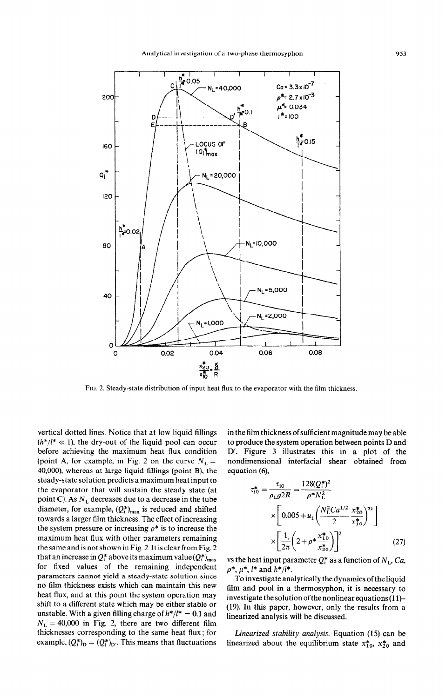

Fro. 2. Steady-state distribution of input heat flux to the evaporator with the film thickness.

vertical dotted lines. Notice that at low liquid fillings  $(h^*/l^* \ll 1)$ , the dry-out of the liquid pool can occur before achieving the maximum heat flux condition (point A, for example, in Fig. 2 on the curve  $N_L =$ 40,000), whereas at large liquid fillings (point B), the steady-state solution predicts a maximum heat input to the evaporator that will sustain the steady state (at point C). As  $N_L$  decreases due to a decrease in the tube diameter, for example,  $(Q_i^*)_{max}$  is reduced and shifted towards a larger film thickness. The effect of increasing the system pressure or increasing  $\rho^*$  is to increase the maximum heat flux with other parameters remaining the same and is not shown in Fig. 2. It is clear from Fig. 2 that an increase in  $Q_i^*$  above its maximum value  $(Q_i^*)_{max}$ for fixed values of the remaining independent parameters cannot yield a steady-state solution since no film thickness exists which can maintain this new heat flux, and at this point the system operation may shift to a different state which may be either stable or unstable. With a given filling charge of  $h^*/l^* = 0.1$  and  $N_L = 40,000$  in Fig. 2, there are two different film thicknesses corresponding to the same heat flux; for example,  $(Q_i^*)_D = (Q_i^*)_{D'}$ . This means that fluctuations

in the film thickness ofsufficient magnitude may be able to produce the system operation between points D and D'. Figure 3 illustrates this in a plot of the nondimensional interfacial shear obtained from equation (6),

$$
\tau_{10}^{*} = \frac{\tau_{10}}{\rho_{L}g2R} = \frac{128(Q_{1}^{*})^{2}}{\rho^{*}N_{L}^{2}}
$$

$$
\times \left[0.005 + u_{1}\left(\frac{N_{L}^{2}Ca^{1/2}}{2} \frac{x_{20}^{*}}{x_{10}^{*}}\right)^{u_{2}}\right]
$$

$$
\times \left[\frac{1}{2\pi}\left(2 + \rho^{*}\frac{x_{10}^{*}}{x_{20}^{*}}\right)\right]^{2} \tag{27}
$$

vs the heat input parameter  $Q_i^*$  as a function of  $N_L$ ,  $Ca$ ,  $\rho^*, \mu^*, l^*$  and  $h^*/l^*.$ 

To investigate analytically the dynamics of the liquid film and pool in a thermosyphon, it is necessary to investigate the solution of the nonlinear equations (1 I)- (19). In this paper, however, only the results from a linearized analysis will be discussed.

Linearized stability analysis. Equation (15) can be linearized about the equilibrium state  $x_{10}^*$ ,  $x_{20}^*$  and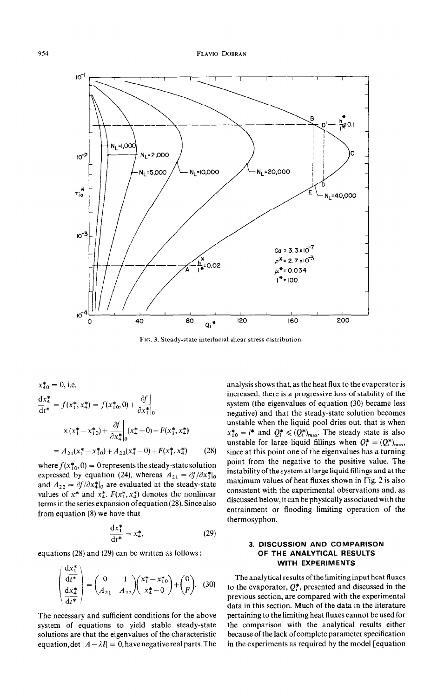

FIG. 3. Steady-state interfacial shear stress distribution.

$$
x_{40}^{*} = 0, \text{ i.e.}
$$
  
\n
$$
\frac{dx_{4}^{*}}{dt^{*}} = f(x_{1}^{*}, x_{4}^{*}) = f(x_{10}^{*}, 0) + \frac{\partial f}{\partial x_{10}^{*}}\Big|_{0}
$$
  
\n
$$
\times (x_{1}^{*} - x_{10}^{*}) + \frac{\partial f}{\partial x_{40}^{*}}\Big|_{0} (x_{4}^{*} - 0) + F(x_{1}^{*}, x_{4}^{*})
$$
  
\n
$$
= A_{21}(x_{1}^{*} - x_{10}^{*}) + A_{22}(x_{4}^{*} - 0) + F(x_{1}^{*}, x_{4}^{*}) \qquad (28)
$$

where  $f(x_{10}^*, 0) = 0$  represents the steady-state solution expressed by equation (24), whereas  $A_{21} = \partial f / \partial x_1^*|_0$ and  $A_{22} = \partial f / \partial x_4^*|_0$  are evaluated at the steady-state values of  $x_1^*$  and  $x_4^*$ .  $F(x_1^*, x_4^*)$  denotes the nonlinear terms in the series expansion of equation (28). Since also from equation (8) we have that

$$
\frac{\mathrm{d}x_1^*}{\mathrm{d}t^*} = x_4^*,\tag{29}
$$

equations (28) and (29) can be written as follows:

$$
\begin{pmatrix} \frac{dx_1^*}{dt^*} \\ \frac{dx_4^*}{dt^*} \end{pmatrix} = \begin{pmatrix} 0 & 1 \\ A_{21} & A_{22} \end{pmatrix} \begin{pmatrix} x_1^* - x_{10}^* \\ x_4^* - 0 \end{pmatrix} + \begin{pmatrix} 0 \\ F \end{pmatrix}.
$$
 (30)

The necessary and sufficient conditions for the above system of equations to yield stable steady-state solutions are that the eigenvalues of the characteristic equation, det  $|A - \lambda I| = 0$ , have negative real parts. The analysis shows that, as the heat flux to the evaporator is increased, there is a progressive loss of stability of the system (the eigenvalues of equation (30) became less negative) and that the steady-state solution becomes unstable when the liquid pool dries out, that is when  $x_{10}^* = l^*$  and  $Q_i^* \leq (Q_i^*)_{max}$ . The steady state is also unstable for large liquid fillings when  $Q_i^* = (Q_i^*)_{max}$ , since at this point one of the eigenvalues has a turning point from the negative to the positive value. The instability of the system at large liquid fillings and at the maximum values of heat fluxes shown in Fig. 2 is also consistent with the experimental observations and, as discussed below, it can be physically associated with the entrainment or flooding limiting operation of the thermosyphon.

# 3. DISCUSSION AND COMPARISON OF THE ANALYTICAL RESULTS WITH EXPERIMENTS

The analytical results of the limiting input heat fluxes to the evaporator,  $Q_i^*$ , presented and discussed in the previous section, are compared with the experimental data in this section. Much of the data in the literature pertaining to the limiting heat fluxes cannot be used for the comparison with the analytical results either because of the lack of complete parameter specification in the experiments as required by the model [equation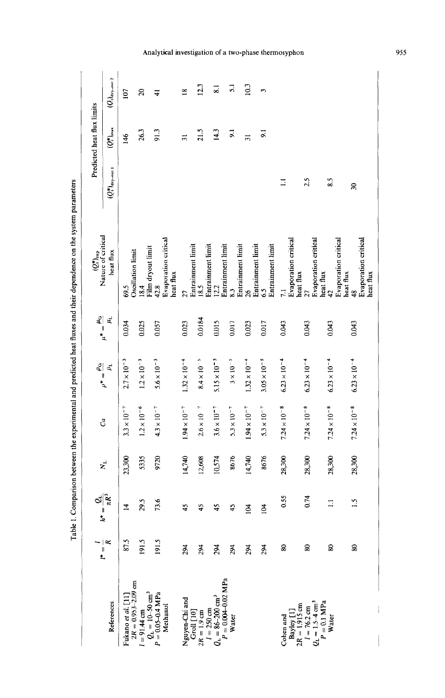|                                                                            |                             |                                   |                     |                       |                                                   |                                        | $(Q_t^*)_{\text{exp}}$<br>Nature of critical                   |                              | Predicted heat flux limits |                          |
|----------------------------------------------------------------------------|-----------------------------|-----------------------------------|---------------------|-----------------------|---------------------------------------------------|----------------------------------------|----------------------------------------------------------------|------------------------------|----------------------------|--------------------------|
| References                                                                 | $\frac{1}{k} = \frac{1}{k}$ | $h^* = \frac{Q_{\rm L}}{\pi R^3}$ | $N_{\rm L}$         | $\mathcal{C}^a$       | $\rho^*=\frac{\rho_{\rm G}}{2}$<br>$\rho_{\rm L}$ | $\mu^*=\frac{\mu_{\rm G}}{2}$<br>$\mu$ | heat flux                                                      | $(Q_i^*)_{\text{dry-out 1}}$ | $Q_i^*$ <sub>max</sub>     | $(Q_i)_{\rm dry-out\,2}$ |
| Fukano <i>et al</i> . [11]                                                 | 87.5                        | $\overline{1}$                    | 23,300              | $3.3 \times 10^{-7}$  | $2.7 \times 10^{-3}$                              | 0.034                                  | 69.5                                                           |                              | 146                        | 107                      |
| $2R = 0.953 - 2.09$ cm<br>$l = 91.44$ cm                                   | 191.5                       | 29.5                              | 5335                | $1.2\times10^{-6}$    | $1.2\times10^{-3}$                                | 0.025                                  | Oscillation limit<br>18.4                                      |                              | 26.3                       | $\infty$                 |
| $Q_{\rm L}=10\text{--}50\text{ cm}^3$<br>$P = 0.05 - 0.4$ MPa<br>Methanol  | 191.5                       | 73.6                              | 720                 | $4.3 \times 10^{-7}$  | $5.6 \times 10^{-3}$                              | 0.057                                  | Evaporation critical<br>Film dryout limit<br>heat flux<br>42.8 |                              | 91.3                       | न                        |
| Nguyen-Chi and                                                             | 294                         | 45                                | 740<br>.<br>⊒       | $1.94 \times 10^{-7}$ | $1.32 \times 10^{-4}$                             | 0.023                                  | 27                                                             |                              | $\overline{31}$            | $\frac{8}{10}$           |
| $2R = 1.9$ cm<br>$G$ roll $[10]$                                           | 294                         | 45                                | 12,608              | $2.6\times10^{-7}$    | $8.4\times10^{-5}$                                | 0.0184                                 | Entrainment limit<br>18.5                                      |                              | 21.5                       | 12.3                     |
| $Q_L = 86 - 200$ cm <sup>3</sup><br>$l = 250$ cm                           | 294                         | 45                                | 10,574              | $3.6 \times 10^{-7}$  | $5.15 \times 10^{-5}$                             | 0.015                                  | Entrainment limit<br>12.2                                      |                              | $\frac{14.3}{2}$           | $\overline{\phantom{0}}$ |
| $P = 0.004 - 0.02$ MPa<br><b>Water</b>                                     | 294                         | 45                                | 8676                | $5.3 \times 10^{-7}$  | $3\times10^{-5}$                                  | 0.017                                  | Entrainment limit<br>8.3                                       |                              | $\overline{5}$             | $\overline{51}$          |
|                                                                            | 294                         | 104                               | 740<br>$\mathbf{H}$ | $1.94 \times 10^{-7}$ | $1.32 \times 10^{-4}$                             | 0.023                                  | Entrainment limit<br>$\frac{26}{5}$                            |                              | $\overline{31}$            | 10.3                     |
|                                                                            | 294                         | $\overline{a}$                    | 676<br>Ō            | $5.3\times10^{-7}$    | $3.05 \times 10^{-5}$                             | 0.017                                  | Entrainment limit<br>Entrainment limit<br>6.5                  |                              | 5 <sub>1</sub>             | $\overline{\phantom{0}}$ |
| Bayley []<br>Cohen and                                                     | 80                          | 0.55                              | 28,300              | $7.24 \times 10^{-8}$ | $6.23 \times 10^{-4}$                             | 0.043                                  | Evaporation critical<br>7.1                                    | $\Xi$                        |                            |                          |
| $5-4$ cm <sup>3</sup><br>$2R = 1.915$ cm<br>$l = 76.2$ cm<br>$\frac{1}{1}$ | 80                          | 0.74                              | 28,300              | $7.24 \times 10^{-8}$ | $6.23 \times 10^{-4}$                             | 0.043                                  | Evaporation critical<br>heat flux<br>27                        | 2.5                          |                            |                          |
| $= 0.1$ MPa<br>Water                                                       | $\approx$                   | $\overline{1}$                    | 28,300              | $7.24 \times 10^{-8}$ | $6.23 \times 10^{-4}$                             | 0.043                                  | Evaporation critical<br>heat flux<br>$\frac{42}{5}$            | 8.5                          |                            |                          |
|                                                                            | $\overline{\mathbf{8}}$     | $\ddot{.}$                        | 28,300              | $7.24\times10^{-8}$   | $6.23 \times 10^{-4}$                             | 0.043                                  | heat flux<br>$\frac{48}{5}$                                    | $\approx$                    |                            |                          |
|                                                                            |                             |                                   |                     |                       |                                                   |                                        | Evaporation critical<br>heat flux                              |                              |                            |                          |

Table 1. Comparison between the experimental and predicted heat fluxes and their dependence on the system parameters

Analytical investigation of a two-phase thermosyphon

955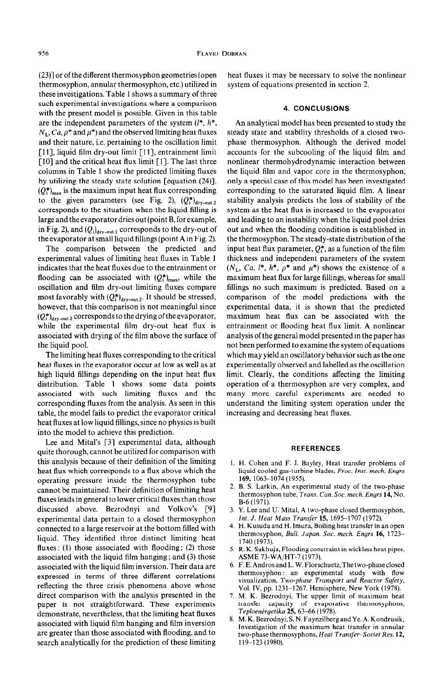$(23)$ ] or of the different thermosyphon geometries (open thermosyphon, annular thermosyphon, etc.) utilized in these investigations. Table 1 shows a summary of three such experimental investigations where a comparison with the present model is possible. Given in this table are the independent parameters of the system  $(l^*, h^*,$  $N_L$ , Ca,  $\rho^*$  and  $\mu^*$ ) and the observed limiting heat fluxes and their nature, i.e. pertaining to the oscillation limit [11], liquid film dry-out limit [11], entrainment limit [10] and the critical heat flux limit [1]. The last three columns in Table 1 show the predicted limiting fluxes by utilizing the steady state solution [equation (24)].  $(Q_i^*)_{\text{max}}$  is the maximum input heat flux corresponding to the given parameters (see Fig. 2),  $(Q_i^*)_{\text{dry-out 2}}$ corresponds to the situation when the liquid filling is large and the evaporator dries out (point B, for example, in Fig. 2), and  $(Q_i)_{\text{dry-out }1}$  corresponds to the dry-out of the evaporator at small liquid fillings (point A in Fig. 2).

The comparison between the predicted and experimental values of limiting heat fluxes in Table 1 indicates that the heat fluxes due to the entrainment or flooding can be associated with  $(Q_i^*)_{max}$ , while the oscillation and film dry-out limiting fluxes compare most favorably with  $(Q_i^*)$ <sub>dry-out 2</sub>. It should be stressed, however, that this comparison is not meaningful since  $(Q_1^*)$ <sub>dry-out</sub> 2 corresponds to the drying of the evaporator, while the experimental film dry-out heat flux is associated with drying of the film above the surface of the liquid pool.

The limiting heat fluxes corresponding to the critical heat fluxes in the evaporator occur at low as well as at high liquid fillings depending on the input heat flux distribution. Table 1 shows some data points associated with such limiting fluxes and the corresponding fluxes from the analysis. As seen in this table, the model fails to predict the evaporator critical heat fluxes at low liquid fillings, since no physics is built into the model to achieve this prediction.

Lee and Mital's [3] experimental data, although quite thorough, cannot be utilized for comparison with this analysis because of their definition of the limiting heat flux which corresponds to a flux above which the operating pressure inside the thermosyphon tube cannot be maintained. Their definition of limiting heat fluxes leads in general to lower critical fluxes than those discussed above. Bezrodnyi and Volkov's [9] experimental data pertain to a closed thermosyphon connected to a large reservoir at the bottom filled with liquid. They identified three distinct limiting heat fluxes: (1) those associated with flooding; (2) those associated with the liquid film hanging ; and (3) those associated with the liquid film inversion. Their data are expressed in terms of three different correlations reflecting the three crisis phenomena above whose direct comparison with the analysis presented in the paper is not straightforward. These experiments demonstrate, nevertheless, that the limiting heat fluxes associated with liquid film hanging and film inversion are greater than those associated with flooding, and to search analytically for the prediction of these limiting

heat fluxes it may be necessary to solve the nonlinear system of equations presented in section 2.

# **4.** CONCLUSIONS

An analytical model has been presented to study the steady state and stability thresholds of a closed twophase thermosyphon. Although the derived model accounts for the subcooling of the liquid film and nonlinear thermohydrodynamic interaction between the liquid film and vapor core in the thermosyphon, only a special case of this model has been investigated corresponding to the saturated liquid film. A linear stability analysis predicts the loss of stability of the system as the heat flux is increased to the evaporator and leading to an instability when the liquid pool dries out and when the flooding condition is established in the thermosyphon. The steady-state distribution of the input heat flux parameter,  $Q_i^*$ , as a function of the film thickness and independent parameters of the system  $(N_L, Ca, l^*, h^*, \rho^*$  and  $\mu^*)$  shows the existence of a maximum heat flux for large fillings, whereas for small fillings no such maximum is predicted. Based on a comparison of the model predictions with the experimental data, it is shown that the predicted maximum heat flux can be associated with the entrainment or flooding heat flux limit. A nonlinear analysis of the general model presented in the paper has not been performed to examine the system of equations which may yield an oscillatory behavior such as the one experimentally observed and labelled as the oscillation limit. Clearly, the conditions affecting the limiting operation of a thermosyphon are very complex, and many more careful experiments are needed to understand the limiting system operation under the increasing and decreasing heat fluxes.

#### REFERENCES

- 1. H. Cohen and F. J. Bayley, Heat transfer problems of liquid cooled gas-turbine blades, Proc. Inst. mech. Engrs 169, 1063-1074 (1955).
- 2. B. S. Larkin, An experimental study of the two-phase thermosyphon tube, *Trans. Can. Soc. mech. Engrs* 14, No. B-6 (1971).
- 3. Y. Lee and U. Mital, A two-phase closed thermosypho Int. J. *Heat Mass Transfer* 15, 1695-1707 (1972).
- 4. H. Kusuda and H. Imura, Boiling heat transfer in an open thermosyphon, Bull. *Japan. Sot. mech. Engrs* 16, 1723- 1740(1973).
- 5. R. K. Sakhuja, Flooding constraint in wickless heat pipes, ASME 73-WA/HT-7 (1973).
- 6. F. E. Andros and L. W. Florschuetz, The two-phase closed thermosyphon: an experimental study with flow visualization, *Two-phase Transport and Reactor Safety,*  Vol. IV, pp. 1231-1267. Hemisphere, New York (1978).
- I. M. K. Bezrodnyi, The upper limit of maximum heat transfer capacity of evaporative thermosyphons, Teploenérgetika 25, 63-66 (1978).
- 8. M.K. Bezrodnyi, S.N. Faynzilberg and Ye. A. Kondrusi Investigation of the maximum heat transfer in annular two-phase thermosyphons, *Heat Transfer-Soviet Res.* 12, 119-123 (1980).